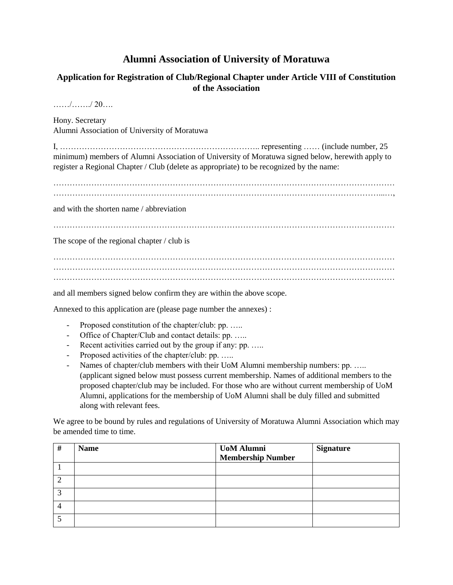## **Alumni Association of University of Moratuwa**

## **Application for Registration of Club/Regional Chapter under Article VIII of Constitution of the Association**

……/……./ 20….

Hony. Secretary Alumni Association of University of Moratuwa

I,  $\dots$  (include number, 25 minimum) members of Alumni Association of University of Moratuwa signed below, herewith apply to register a Regional Chapter / Club (delete as appropriate) to be recognized by the name:

……………………………………………………………………………………………………………… …………………………………………………………………………………………………………...…,

and with the shorten name / abbreviation

………………………………………………………………………………………………………………

The scope of the regional chapter / club is

……………………………………………………………………………………………………………… ……………………………………………………………………………………………………………… ………………………………………………………………………………………………………………

and all members signed below confirm they are within the above scope.

Annexed to this application are (please page number the annexes) :

- Proposed constitution of the chapter/club: pp. .....
- Office of Chapter/Club and contact details: pp. …..
- Recent activities carried out by the group if any: pp. .....
- Proposed activities of the chapter/club: pp. .....
- Names of chapter/club members with their UoM Alumni membership numbers: pp. ..... (applicant signed below must possess current membership. Names of additional members to the proposed chapter/club may be included. For those who are without current membership of UoM Alumni, applications for the membership of UoM Alumni shall be duly filled and submitted along with relevant fees.

We agree to be bound by rules and regulations of University of Moratuwa Alumni Association which may be amended time to time.

| # | <b>Name</b> | <b>UoM Alumni</b>        | <b>Signature</b> |
|---|-------------|--------------------------|------------------|
|   |             | <b>Membership Number</b> |                  |
|   |             |                          |                  |
|   |             |                          |                  |
|   |             |                          |                  |
|   |             |                          |                  |
|   |             |                          |                  |